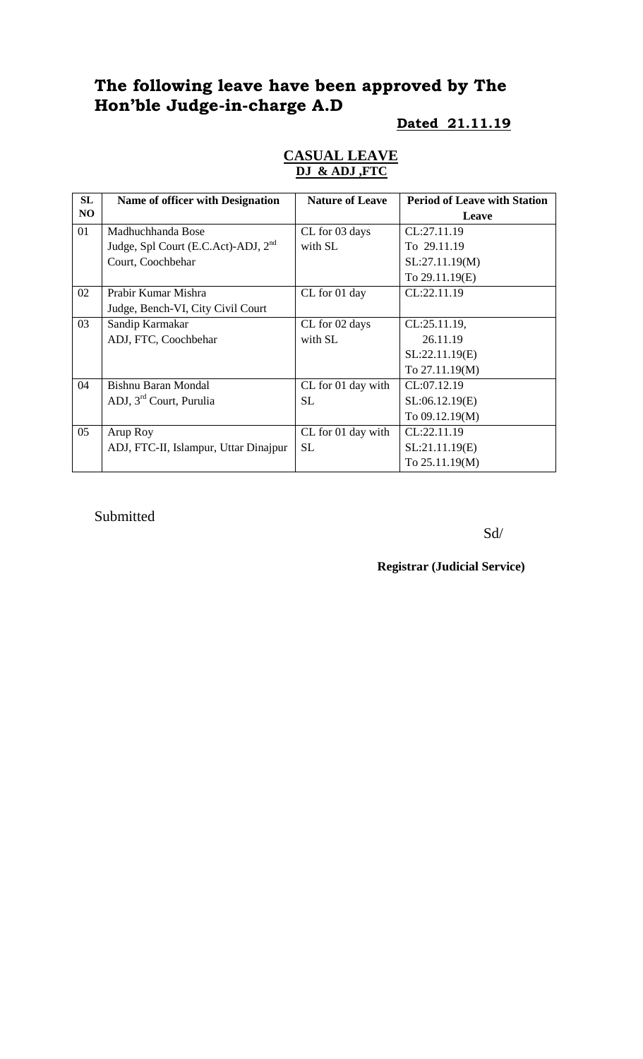# **The following leave have been approved by The Hon'ble Judge-in-charge A.D**

#### **Dated 21.11.19**

| <b>CASUAL LEAVE</b> |  |
|---------------------|--|
| DJ & ADJ, FTC       |  |

| SL | <b>Name of officer with Designation</b>         | <b>Nature of Leave</b> | <b>Period of Leave with Station</b> |
|----|-------------------------------------------------|------------------------|-------------------------------------|
| NO |                                                 |                        | Leave                               |
| 01 | Madhuchhanda Bose                               | CL for 03 days         | CL:27.11.19                         |
|    | Judge, Spl Court (E.C.Act)-ADJ, 2 <sup>nd</sup> | with SL                | To 29.11.19                         |
|    | Court, Coochbehar                               |                        | SL:27.11.19(M)                      |
|    |                                                 |                        | To 29.11.19(E)                      |
| 02 | Prabir Kumar Mishra                             | CL for 01 day          | CL:22.11.19                         |
|    | Judge, Bench-VI, City Civil Court               |                        |                                     |
| 03 | Sandip Karmakar                                 | CL for 02 days         | $CL:25.11.19$ ,                     |
|    | ADJ, FTC, Coochbehar                            | with SL                | 26.11.19                            |
|    |                                                 |                        | SL:22.11.19(E)                      |
|    |                                                 |                        | To 27.11.19(M)                      |
| 04 | Bishnu Baran Mondal                             | CL for 01 day with     | CL:07.12.19                         |
|    | ADJ, 3 <sup>rd</sup> Court, Purulia             | <b>SL</b>              | SL:06.12.19(E)                      |
|    |                                                 |                        | To 09.12.19(M)                      |
| 05 | Arup Roy                                        | CL for 01 day with     | CL:22.11.19                         |
|    | ADJ, FTC-II, Islampur, Uttar Dinajpur           | <b>SL</b>              | SL:21.11.19(E)                      |
|    |                                                 |                        | To 25.11.19(M)                      |

Submitted

Sd/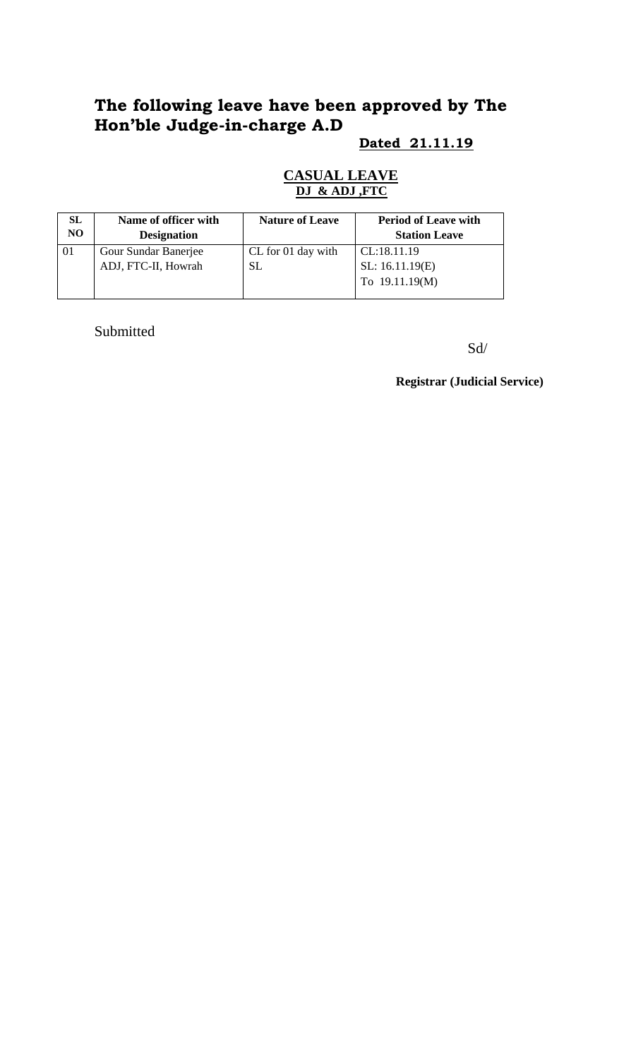# **The following leave have been approved by The Hon'ble Judge-in-charge A.D**

## **Dated 21.11.19**

### **CASUAL LEAVE DJ & ADJ ,FTC**

| SL  | Name of officer with | <b>Nature of Leave</b> | <b>Period of Leave with</b> |
|-----|----------------------|------------------------|-----------------------------|
| NO. | <b>Designation</b>   |                        | <b>Station Leave</b>        |
| 01  | Gour Sundar Banerjee | CL for 01 day with     | CL:18.11.19                 |
|     | ADJ, FTC-II, Howrah  | SL                     | SL: 16.11.19(E)             |
|     |                      |                        | To $19.11.19(M)$            |
|     |                      |                        |                             |

Submitted

Sd/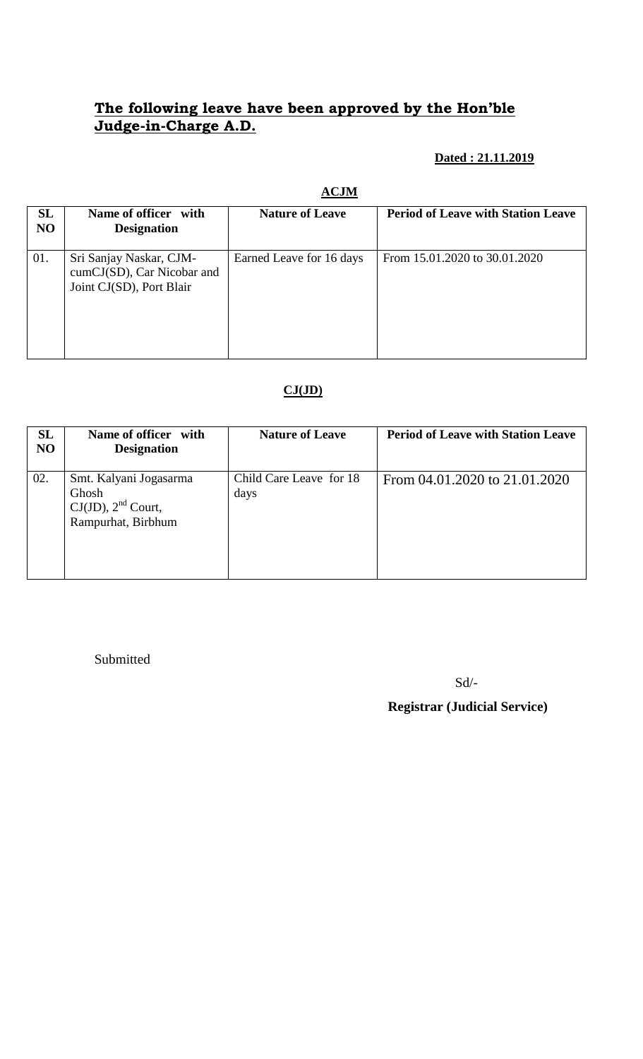## **The following leave have been approved by the Hon'ble Judge-in-Charge A.D.**

### **Dated : 21.11.2019**

#### **ACJM**

| <b>SL</b><br>NO | Name of officer with<br><b>Designation</b>                                        | <b>Nature of Leave</b>   | <b>Period of Leave with Station Leave</b> |
|-----------------|-----------------------------------------------------------------------------------|--------------------------|-------------------------------------------|
| 01.             | Sri Sanjay Naskar, CJM-<br>cumCJ(SD), Car Nicobar and<br>Joint CJ(SD), Port Blair | Earned Leave for 16 days | From 15.01.2020 to 30.01.2020             |

## **CJ(JD)**

| <b>SL</b><br>NO | Name of officer with<br><b>Designation</b>                                       | <b>Nature of Leave</b>          | <b>Period of Leave with Station Leave</b> |
|-----------------|----------------------------------------------------------------------------------|---------------------------------|-------------------------------------------|
| 02.             | Smt. Kalyani Jogasarma<br>Ghosh<br>$CJ(JD)$ , $2nd$ Court,<br>Rampurhat, Birbhum | Child Care Leave for 18<br>days | From 04.01.2020 to 21.01.2020             |

Submitted

Sd/-